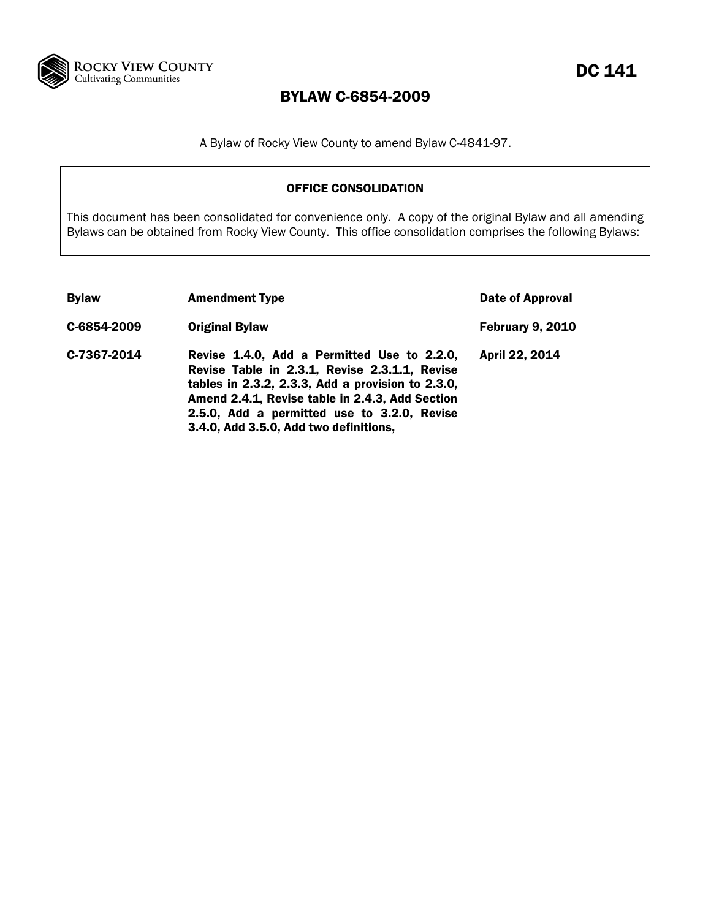

A Bylaw of Rocky View County to amend Bylaw C-4841-97.

## OFFICE CONSOLIDATION

This document has been consolidated for convenience only. A copy of the original Bylaw and all amending Bylaws can be obtained from Rocky View County. This office consolidation comprises the following Bylaws:

| <b>Bylaw</b> | <b>Amendment Type</b>                                                                                                                                                                                                                                                                         | <b>Date of Approval</b> |
|--------------|-----------------------------------------------------------------------------------------------------------------------------------------------------------------------------------------------------------------------------------------------------------------------------------------------|-------------------------|
| C-6854-2009  | <b>Original Bylaw</b>                                                                                                                                                                                                                                                                         | <b>February 9, 2010</b> |
| C-7367-2014  | Revise 1.4.0, Add a Permitted Use to 2.2.0,<br>Revise Table in 2.3.1, Revise 2.3.1.1, Revise<br>tables in 2.3.2, 2.3.3, Add a provision to 2.3.0,<br>Amend 2.4.1, Revise table in 2.4.3, Add Section<br>2.5.0, Add a permitted use to 3.2.0, Revise<br>3.4.0, Add 3.5.0, Add two definitions, | April 22, 2014          |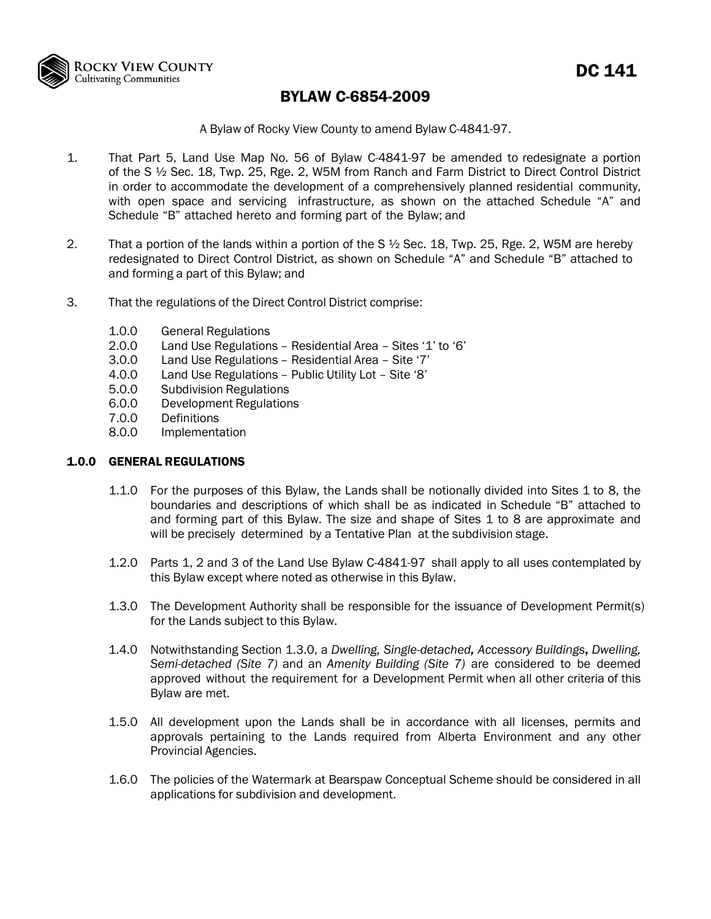

A Bylaw of Rocky View County to amend Bylaw C-4841-97.

- 1. That Part 5, Land Use Map No. 56 of Bylaw C-4841-97 be amended to redesignate a portion of the S ½ Sec. 18, Twp. 25, Rge. 2, W5M from Ranch and Farm District to Direct Control District in order to accommodate the development of a comprehensively planned residential community, with open space and servicing infrastructure, as shown on the attached Schedule "A" and Schedule "B" attached hereto and forming part of the Bylaw; and
- 2. That a portion of the lands within a portion of the S ½ Sec. 18, Twp. 25, Rge. 2, W5M are hereby redesignated to Direct Control District, as shown on Schedule "A" and Schedule "B" attached to and forming a part of this Bylaw; and
- 3. That the regulations of the Direct Control District comprise:
	- 1.0.0 General Regulations<br>2.0.0 Land Use Regulations
	- Land Use Regulations Residential Area Sites '1' to '6'
	- 3.0.0 Land Use Regulations Residential Area Site '7'
	- 4.0.0 Land Use Regulations Public Utility Lot Site '8'
	- 5.0.0 Subdivision Regulations
	- 6.0.0 Development Regulations
	- 7.0.0 Definitions
	- 8.0.0 Implementation

### 1.0.0 GENERAL REGULATIONS

- 1.1.0 For the purposes of this Bylaw, the Lands shall be notionally divided into Sites 1 to 8, the boundaries and descriptions of which shall be as indicated in Schedule "B" attached to and forming part of this Bylaw. The size and shape of Sites 1 to 8 are approximate and will be precisely determined by a Tentative Plan at the subdivision stage.
- 1.2.0 Parts 1, 2 and 3 of the Land Use Bylaw C-4841-97 shall apply to all uses contemplated by this Bylaw except where noted as otherwise in this Bylaw.
- 1.3.0 The Development Authority shall be responsible for the issuance of Development Permit(s) for the Lands subject to this Bylaw.
- 1.4.0 Notwithstanding Section 1.3.0, a *Dwelling, Single-detached, Accessory Buildings*, *Dwelling, Semi-detached (Site 7)* and an *Amenity Building (Site 7)* are considered to be deemed approved without the requirement for a Development Permit when all other criteria of this Bylaw are met.
- 1.5.0 All development upon the Lands shall be in accordance with all licenses, permits and approvals pertaining to the Lands required from Alberta Environment and any other Provincial Agencies.
- 1.6.0 The policies of the Watermark at Bearspaw Conceptual Scheme should be considered in all applications for subdivision and development.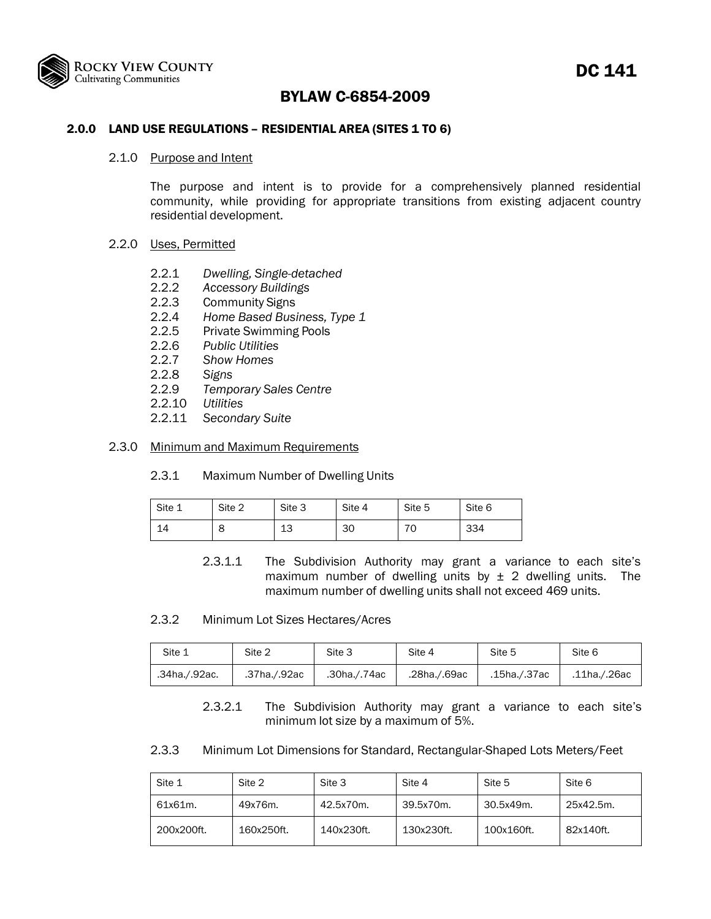

# DC 141

## BYLAW C-6854-2009

### 2.0.0 LAND USE REGULATIONS - RESIDENTIAL AREA (SITES 1 TO 6)

#### 2.1.0 Purpose and Intent

The purpose and intent is to provide for a comprehensively planned residential community, while providing for appropriate transitions from existing adjacent country residential development.

#### 2.2.0 Uses, Permitted

- 2.2.1 *Dwelling, Single-detached*
- 2.2.2 *Accessory Buildings*
- 2.2.3 Community Signs
- 2.2.4 *Home Based Business, Type 1*
- 2.2.5 Private Swimming Pools
- 2.2.6 *Public Utilities*
- 2.2.7 *Show Homes*
- 2.2.8 *Signs*
- 2.2.9 *Temporary Sales Centre*
- 2.2.10 *Utilities*
- 2.2.11 *Secondary Suite*

#### 2.3.0 Minimum and Maximum Requirements

2.3.1 Maximum Number of Dwelling Units

| Site 1  | Site 2 | Site 3   | Site 4 | Site 5 | Site 6 |
|---------|--------|----------|--------|--------|--------|
| ◢<br>14 | o      | 12<br>⊥ບ | 30     | 70     | 334    |

- 2.3.1.1 The Subdivision Authority may grant a variance to each site's maximum number of dwelling units by  $\pm$  2 dwelling units. The maximum number of dwelling units shall not exceed 469 units.
- 2.3.2 Minimum Lot Sizes Hectares/Acres

| Site 1        | Site 2       | Site 3       | Site 4       | Site 5       | Site 6       |
|---------------|--------------|--------------|--------------|--------------|--------------|
| .34ha./.92ac. | .37ha./.92ac | .30ha./.74ac | .28ha./.69ac | .15ha./.37ac | .11ha./.26ac |

2.3.2.1 The Subdivision Authority may grant a variance to each site's minimum lot size by a maximum of 5%.

2.3.3 Minimum Lot Dimensions for Standard, Rectangular-Shaped Lots Meters/Feet

| Site 1     | Site 2     | Site 3     | Site 4     | Site 5     | Site 6    |
|------------|------------|------------|------------|------------|-----------|
| 61x61m.    | 49x76m.    | 42.5x70m.  | 39.5x70m.  | 30.5x49m.  | 25x42.5m. |
| 200x200ft. | 160x250ft. | 140x230ft. | 130x230ft. | 100x160ft. | 82x140ft. |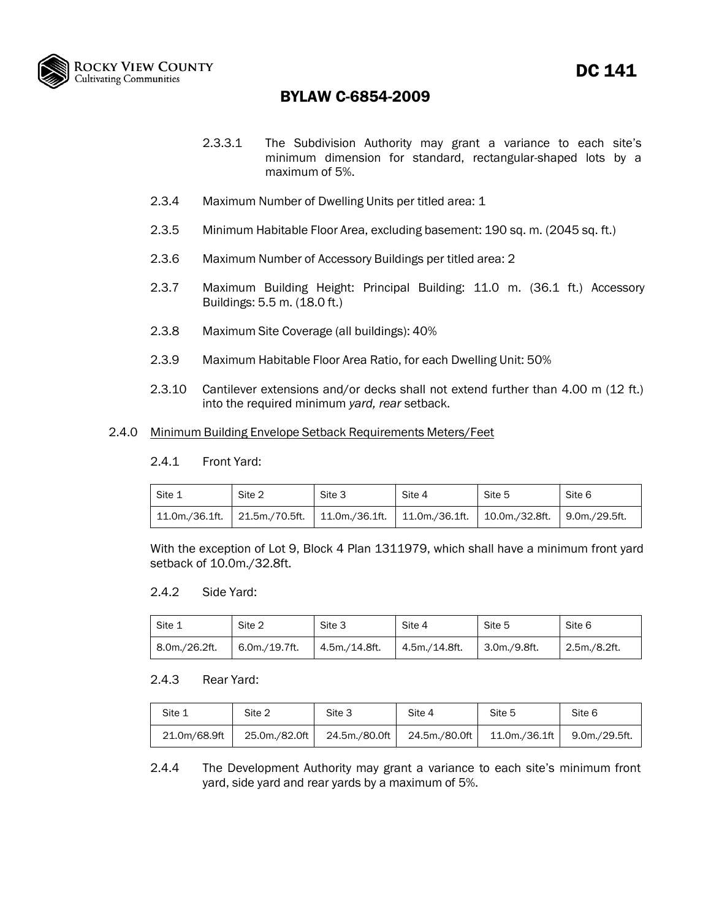

- 2.3.3.1 The Subdivision Authority may grant a variance to each site's minimum dimension for standard, rectangular-shaped lots by a maximum of 5%.
- 2.3.4 Maximum Number of Dwelling Units per titled area: 1
- 2.3.5 Minimum Habitable Floor Area, excluding basement: 190 sq. m. (2045 sq. ft.)
- 2.3.6 Maximum Number of Accessory Buildings per titled area: 2
- 2.3.7 Maximum Building Height: Principal Building: 11.0 m. (36.1 ft.) Accessory Buildings: 5.5 m. (18.0 ft.)
- 2.3.8 Maximum Site Coverage (all buildings): 40%
- 2.3.9 Maximum Habitable Floor Area Ratio, for each Dwelling Unit: 50%
- 2.3.10 Cantilever extensions and/or decks shall not extend further than 4.00 m (12 ft.) into the required minimum *yard, rear* setback.

### 2.4.0 Minimum Building Envelope Setback Requirements Meters/Feet

2.4.1 Front Yard:

| Site 1         | Site 2 | Site 3                                                                            | Site 4 | Site 5 | Site 6 |
|----------------|--------|-----------------------------------------------------------------------------------|--------|--------|--------|
| 11.0m./36.1ft. |        | 21.5m./70.5ft.   11.0m./36.1ft.   11.0m./36.1ft.   10.0m./32.8ft.   9.0m./29.5ft. |        |        |        |

With the exception of Lot 9, Block 4 Plan 1311979, which shall have a minimum front yard setback of 10.0m./32.8ft.

#### 2.4.2 Side Yard:

| Site 1        | Site 2        | Site 3        | Site 4        | Site 5       | Site 6       |
|---------------|---------------|---------------|---------------|--------------|--------------|
| 8.0m./26.2ft. | 6.0m./19.7ft. | 4.5m./14.8ft. | 4.5m./14.8ft. | 3.0m./9.8ft. | 2.5m./8.2ft. |

### 2.4.3 Rear Yard:

| Site 1       | Site 2        | Site 3        | Site 4        | Site 5        | Site 6        |
|--------------|---------------|---------------|---------------|---------------|---------------|
| 21.0m/68.9ft | 25.0m./82.0ft | 24.5m./80.0ft | 24.5m./80.0ft | 11.0m./36.1ft | 9.0m./29.5ft. |

2.4.4 The Development Authority may grant a variance to each site's minimum front yard, side yard and rear yards by a maximum of 5%.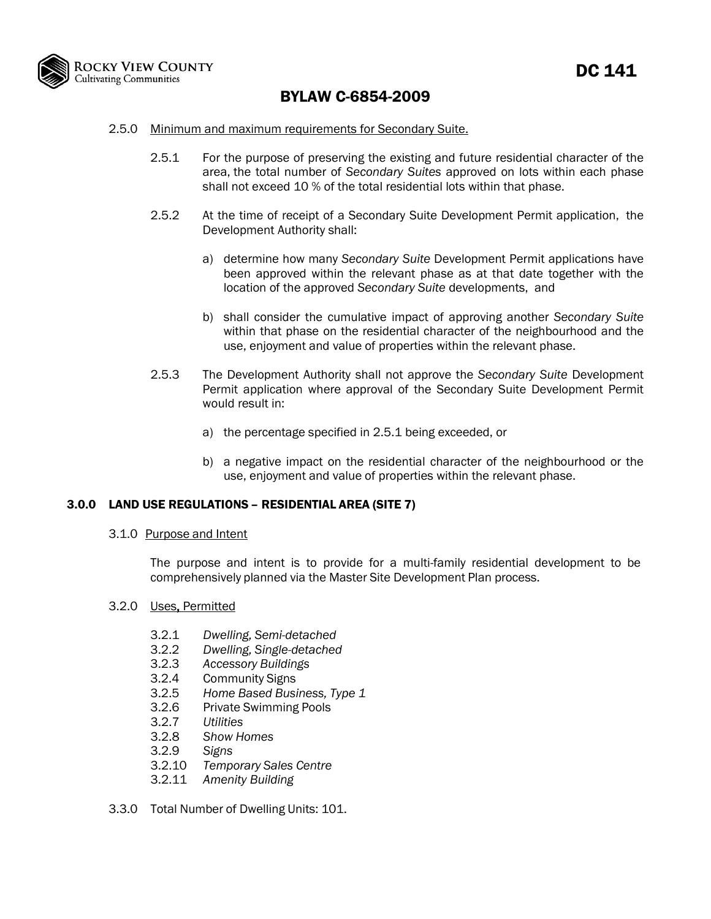

- 2.5.0 Minimum and maximum requirements for Secondary Suite.
	- 2.5.1 For the purpose of preserving the existing and future residential character of the area, the total number of *Secondary Suites* approved on lots within each phase shall not exceed 10 % of the total residential lots within that phase.
	- 2.5.2 At the time of receipt of a Secondary Suite Development Permit application, the Development Authority shall:
		- a) determine how many *Secondary Suite* Development Permit applications have been approved within the relevant phase as at that date together with the location of the approved *Secondary Suite* developments, and
		- b) shall consider the cumulative impact of approving another *Secondary Suite* within that phase on the residential character of the neighbourhood and the use, enjoyment and value of properties within the relevant phase.
	- 2.5.3 The Development Authority shall not approve the *Secondary Suite* Development Permit application where approval of the Secondary Suite Development Permit would result in:
		- a) the percentage specified in 2.5.1 being exceeded, or
		- b) a negative impact on the residential character of the neighbourhood or the use, enjoyment and value of properties within the relevant phase.

### 3.0.0 LAND USE REGULATIONS – RESIDENTIAL AREA (SITE 7)

3.1.0 Purpose and Intent

The purpose and intent is to provide for a multi-family residential development to be comprehensively planned via the Master Site Development Plan process.

#### 3.2.0 Uses, Permitted

- 3.2.1 *Dwelling, Semi-detached*
- 3.2.2 *Dwelling, Single-detached*
- 3.2.3 *Accessory Buildings*
- 3.2.4 Community Signs
- 3.2.5 *Home Based Business, Type 1*
- 3.2.6 Private Swimming Pools
- 3.2.7 *Utilities*
- 3.2.8 *Show Homes*
- 3.2.9 *Signs*
- 3.2.10 *Temporary Sales Centre*
- 3.2.11 *Amenity Building*
- 3.3.0 Total Number of Dwelling Units: 101.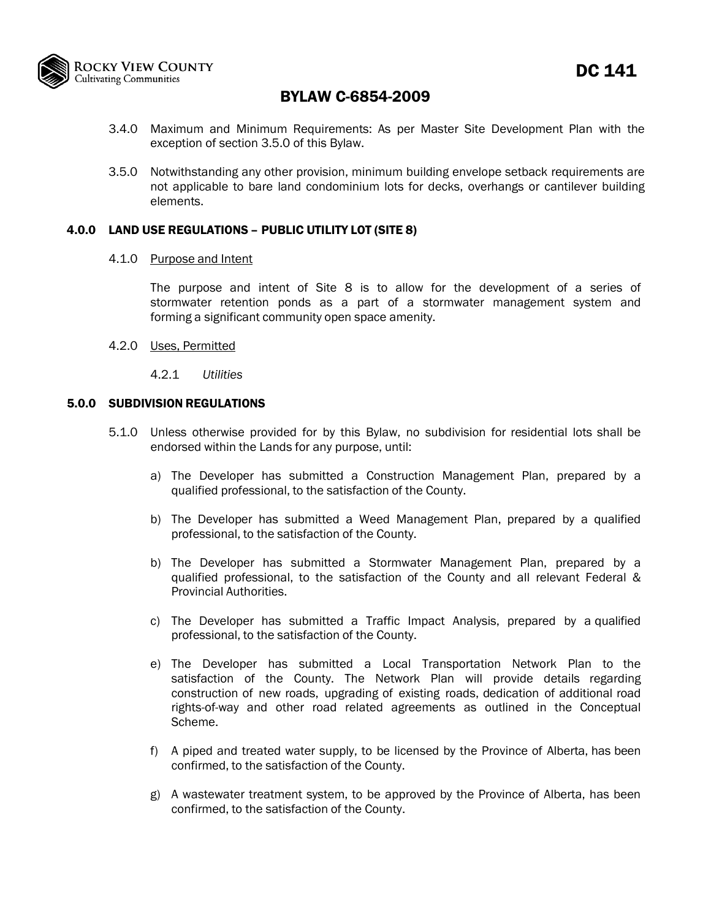

- 3.4.0 Maximum and Minimum Requirements: As per Master Site Development Plan with the exception of section 3.5.0 of this Bylaw.
- 3.5.0 Notwithstanding any other provision, minimum building envelope setback requirements are not applicable to bare land condominium lots for decks, overhangs or cantilever building elements.

### 4.0.0 LAND USE REGULATIONS – PUBLIC UTILITY LOT (SITE 8)

#### 4.1.0 Purpose and Intent

The purpose and intent of Site 8 is to allow for the development of a series of stormwater retention ponds as a part of a stormwater management system and forming a significant community open space amenity.

- 4.2.0 Uses, Permitted
	- 4.2.1 *Utilities*

#### 5.0.0 SUBDIVISION REGULATIONS

- 5.1.0 Unless otherwise provided for by this Bylaw, no subdivision for residential lots shall be endorsed within the Lands for any purpose, until:
	- a) The Developer has submitted a Construction Management Plan, prepared by a qualified professional, to the satisfaction of the County.
	- b) The Developer has submitted a Weed Management Plan, prepared by a qualified professional, to the satisfaction of the County.
	- b) The Developer has submitted a Stormwater Management Plan, prepared by a qualified professional, to the satisfaction of the County and all relevant Federal & Provincial Authorities.
	- c) The Developer has submitted a Traffic Impact Analysis, prepared by a qualified professional, to the satisfaction of the County.
	- e) The Developer has submitted a Local Transportation Network Plan to the satisfaction of the County. The Network Plan will provide details regarding construction of new roads, upgrading of existing roads, dedication of additional road rights-of-way and other road related agreements as outlined in the Conceptual Scheme.
	- f) A piped and treated water supply, to be licensed by the Province of Alberta, has been confirmed, to the satisfaction of the County.
	- g) A wastewater treatment system, to be approved by the Province of Alberta, has been confirmed, to the satisfaction of the County.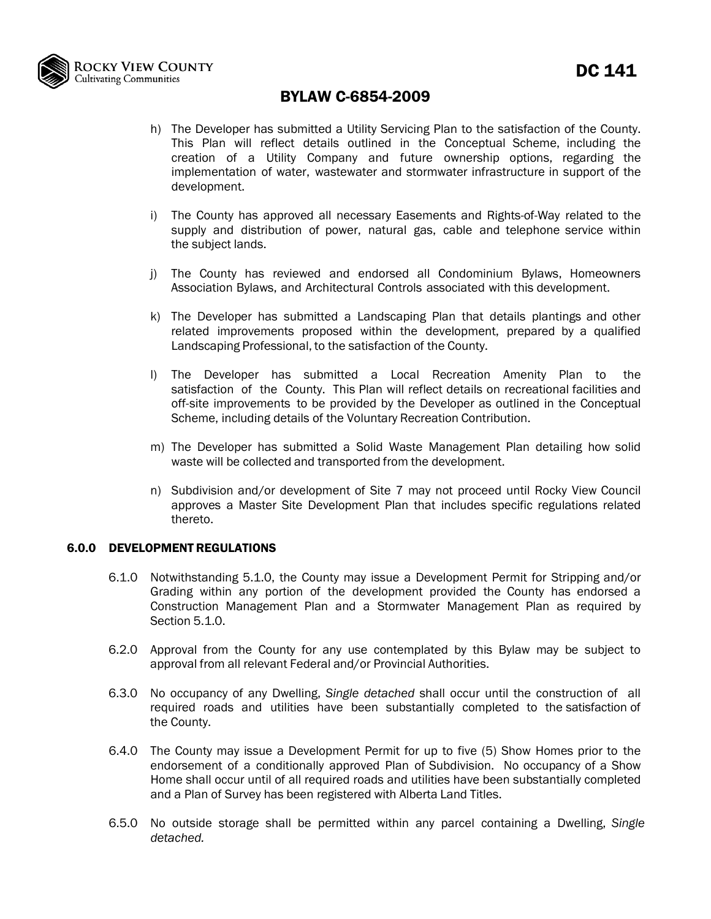

- h) The Developer has submitted a Utility Servicing Plan to the satisfaction of the County. This Plan will reflect details outlined in the Conceptual Scheme, including the creation of a Utility Company and future ownership options, regarding the implementation of water, wastewater and stormwater infrastructure in support of the development.
- i) The County has approved all necessary Easements and Rights-of-Way related to the supply and distribution of power, natural gas, cable and telephone service within the subject lands.
- j) The County has reviewed and endorsed all Condominium Bylaws, Homeowners Association Bylaws, and Architectural Controls associated with this development.
- k) The Developer has submitted a Landscaping Plan that details plantings and other related improvements proposed within the development, prepared by a qualified Landscaping Professional, to the satisfaction of the County.
- l) The Developer has submitted a Local Recreation Amenity Plan to the satisfaction of the County. This Plan will reflect details on recreational facilities and off-site improvements to be provided by the Developer as outlined in the Conceptual Scheme, including details of the Voluntary Recreation Contribution.
- m) The Developer has submitted a Solid Waste Management Plan detailing how solid waste will be collected and transported from the development.
- n) Subdivision and/or development of Site 7 may not proceed until Rocky View Council approves a Master Site Development Plan that includes specific regulations related thereto.

### 6.0.0 DEVELOPMENT REGULATIONS

- 6.1.0 Notwithstanding 5.1.0, the County may issue a Development Permit for Stripping and/or Grading within any portion of the development provided the County has endorsed a Construction Management Plan and a Stormwater Management Plan as required by Section 5.1.0.
- 6.2.0 Approval from the County for any use contemplated by this Bylaw may be subject to approval from all relevant Federal and/or Provincial Authorities.
- 6.3.0 No occupancy of any Dwelling, *Single detached* shall occur until the construction of all required roads and utilities have been substantially completed to the satisfaction of the County.
- 6.4.0 The County may issue a Development Permit for up to five (5) Show Homes prior to the endorsement of a conditionally approved Plan of Subdivision. No occupancy of a Show Home shall occur until of all required roads and utilities have been substantially completed and a Plan of Survey has been registered with Alberta Land Titles.
- 6.5.0 No outside storage shall be permitted within any parcel containing a Dwelling, *Single detached.*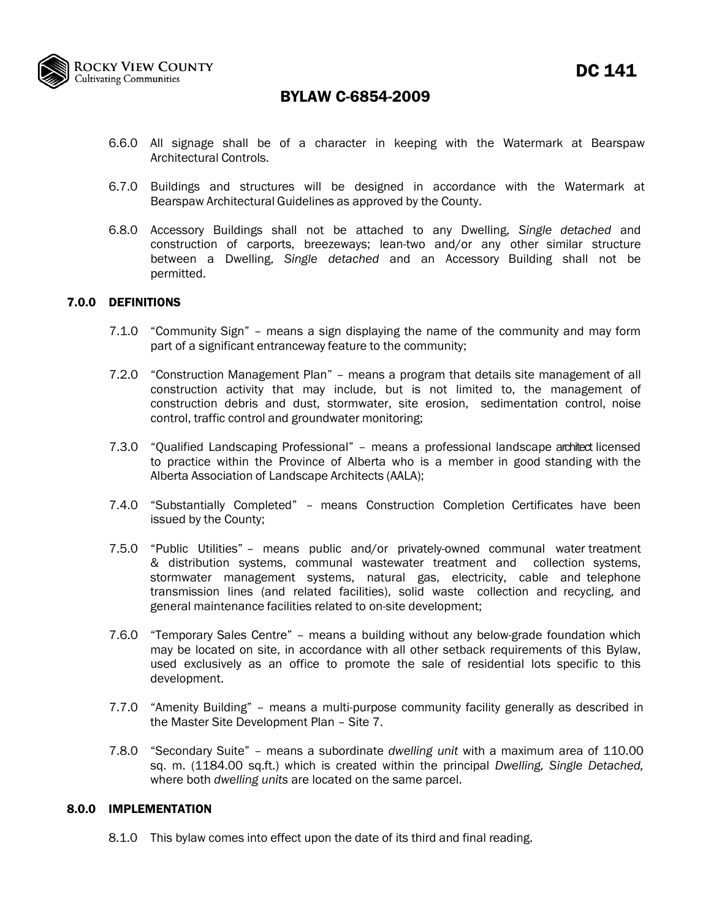

- 6.6.0 All signage shall be of a character in keeping with the Watermark at Bearspaw Architectural Controls.
- 6.7.0 Buildings and structures will be designed in accordance with the Watermark at Bearspaw Architectural Guidelines as approved by the County.
- 6.8.0 Accessory Buildings shall not be attached to any Dwelling, *Single detached* and construction of carports, breezeways; lean-two and/or any other similar structure between a Dwelling, *Single detached* and an Accessory Building shall not be permitted.

### 7.0.0 DEFINITIONS

- 7.1.0 "Community Sign" means a sign displaying the name of the community and may form part of a significant entranceway feature to the community;
- 7.2.0 "Construction Management Plan" means a program that details site management of all construction activity that may include, but is not limited to, the management of construction debris and dust, stormwater, site erosion, sedimentation control, noise control, traffic control and groundwater monitoring;
- 7.3.0 "Qualified Landscaping Professional" means a professional landscape architect licensed to practice within the Province of Alberta who is a member in good standing with the Alberta Association of Landscape Architects (AALA);
- 7.4.0 "Substantially Completed" means Construction Completion Certificates have been issued by the County;
- 7.5.0 "Public Utilities" means public and/or privately-owned communal water treatment & distribution systems, communal wastewater treatment and collection systems, stormwater management systems, natural gas, electricity, cable and telephone transmission lines (and related facilities), solid waste collection and recycling, and general maintenance facilities related to on-site development;
- 7.6.0 "Temporary Sales Centre" means a building without any below-grade foundation which may be located on site, in accordance with all other setback requirements of this Bylaw, used exclusively as an office to promote the sale of residential lots specific to this development.
- 7.7.0 "Amenity Building" means a multi-purpose community facility generally as described in the Master Site Development Plan – Site 7.
- 7.8.0 "Secondary Suite" *–* means a subordinate *dwelling unit* with a maximum area of 110.00 sq. m. (1184.00 sq.ft.) which is created within the principal *Dwelling, Single Detached,*  where both *dwelling units* are located on the same parcel.

#### 8.0.0 IMPLEMENTATION

8.1.0 This bylaw comes into effect upon the date of its third and final reading.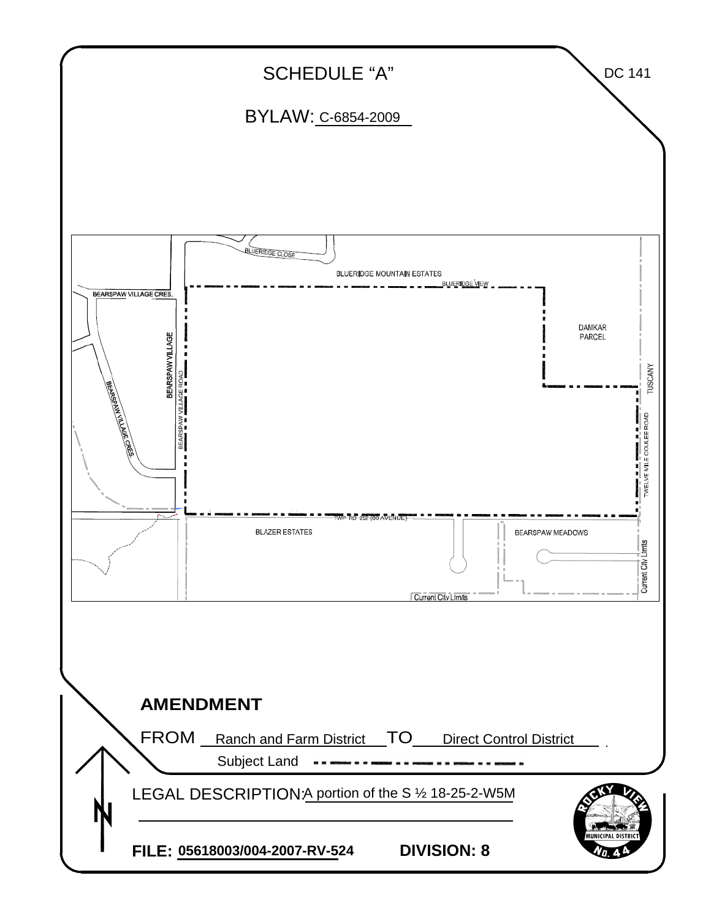